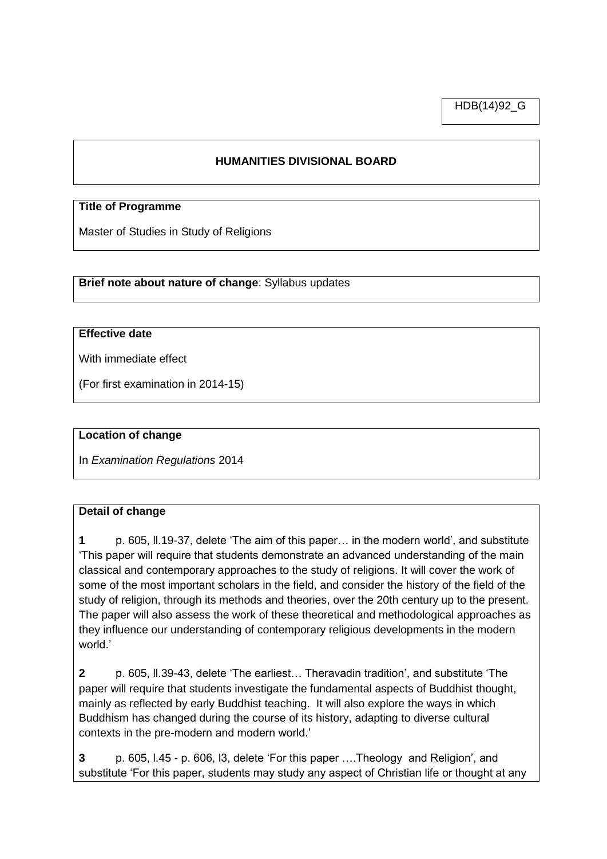HDB(14)92\_G

## **HUMANITIES DIVISIONAL BOARD**

#### **Title of Programme**

Master of Studies in Study of Religions

**Brief note about nature of change**: Syllabus updates

### **Effective date**

With immediate effect

(For first examination in 2014-15)

#### **Location of change**

In *Examination Regulations* 2014

#### **Detail of change**

**1** p. 605, ll.19-37, delete 'The aim of this paper… in the modern world', and substitute 'This paper will require that students demonstrate an advanced understanding of the main classical and contemporary approaches to the study of religions. It will cover the work of some of the most important scholars in the field, and consider the history of the field of the study of religion, through its methods and theories, over the 20th century up to the present. The paper will also assess the work of these theoretical and methodological approaches as they influence our understanding of contemporary religious developments in the modern world.'

**2** p. 605, ll.39-43, delete 'The earliest… Theravadin tradition', and substitute 'The paper will require that students investigate the fundamental aspects of Buddhist thought, mainly as reflected by early Buddhist teaching. It will also explore the ways in which Buddhism has changed during the course of its history, adapting to diverse cultural contexts in the pre-modern and modern world.'

**3** p. 605, l.45 - p. 606, l3, delete 'For this paper ….Theology and Religion', and substitute 'For this paper, students may study any aspect of Christian life or thought at any